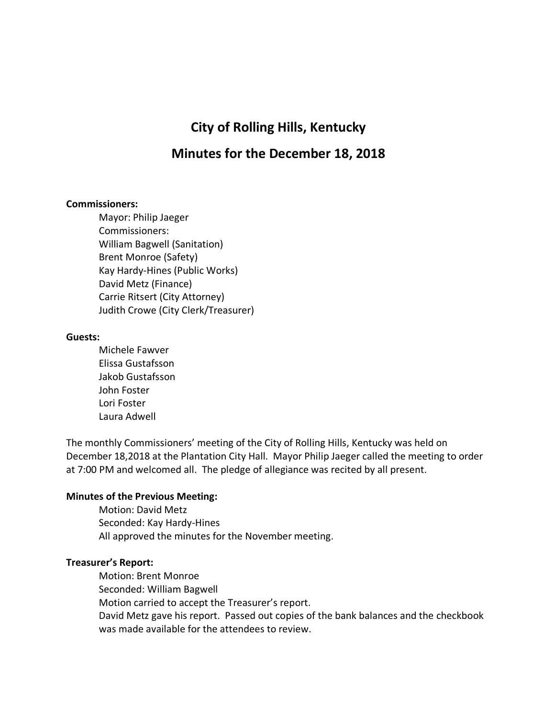# **City of Rolling Hills, Kentucky**

## **Minutes for the December 18, 2018**

#### **Commissioners:**

Mayor: Philip Jaeger Commissioners: William Bagwell (Sanitation) Brent Monroe (Safety) Kay Hardy-Hines (Public Works) David Metz (Finance) Carrie Ritsert (City Attorney) Judith Crowe (City Clerk/Treasurer)

#### **Guests:**

Michele Fawver Elissa Gustafsson Jakob Gustafsson John Foster Lori Foster Laura Adwell

The monthly Commissioners' meeting of the City of Rolling Hills, Kentucky was held on December 18,2018 at the Plantation City Hall. Mayor Philip Jaeger called the meeting to order at 7:00 PM and welcomed all. The pledge of allegiance was recited by all present.

## **Minutes of the Previous Meeting:**

Motion: David Metz Seconded: Kay Hardy-Hines All approved the minutes for the November meeting.

## **Treasurer's Report:**

Motion: Brent Monroe Seconded: William Bagwell Motion carried to accept the Treasurer's report. David Metz gave his report. Passed out copies of the bank balances and the checkbook was made available for the attendees to review.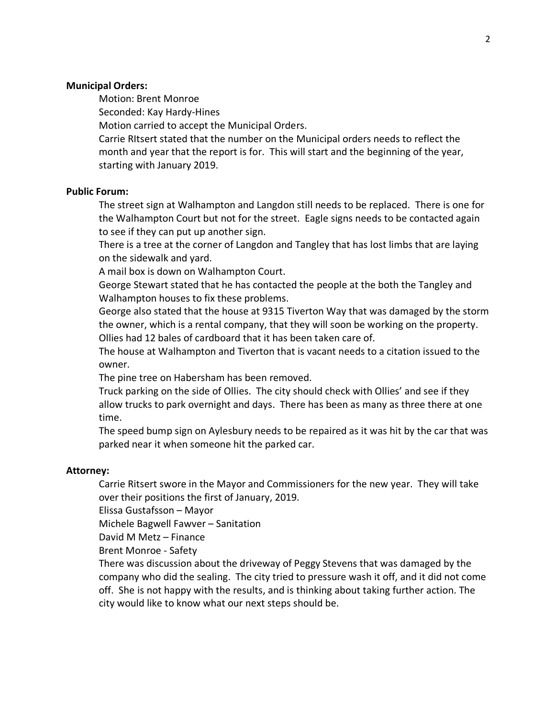## **Municipal Orders:**

Motion: Brent Monroe

Seconded: Kay Hardy-Hines

Motion carried to accept the Municipal Orders.

Carrie RItsert stated that the number on the Municipal orders needs to reflect the month and year that the report is for. This will start and the beginning of the year, starting with January 2019.

## **Public Forum:**

The street sign at Walhampton and Langdon still needs to be replaced. There is one for the Walhampton Court but not for the street. Eagle signs needs to be contacted again to see if they can put up another sign.

There is a tree at the corner of Langdon and Tangley that has lost limbs that are laying on the sidewalk and yard.

A mail box is down on Walhampton Court.

George Stewart stated that he has contacted the people at the both the Tangley and Walhampton houses to fix these problems.

George also stated that the house at 9315 Tiverton Way that was damaged by the storm the owner, which is a rental company, that they will soon be working on the property. Ollies had 12 bales of cardboard that it has been taken care of.

The house at Walhampton and Tiverton that is vacant needs to a citation issued to the owner.

The pine tree on Habersham has been removed.

Truck parking on the side of Ollies. The city should check with Ollies' and see if they allow trucks to park overnight and days. There has been as many as three there at one time.

The speed bump sign on Aylesbury needs to be repaired as it was hit by the car that was parked near it when someone hit the parked car.

## **Attorney:**

Carrie Ritsert swore in the Mayor and Commissioners for the new year. They will take over their positions the first of January, 2019.

Elissa Gustafsson – Mayor

Michele Bagwell Fawver – Sanitation

David M Metz – Finance

Brent Monroe - Safety

There was discussion about the driveway of Peggy Stevens that was damaged by the company who did the sealing. The city tried to pressure wash it off, and it did not come off. She is not happy with the results, and is thinking about taking further action. The city would like to know what our next steps should be.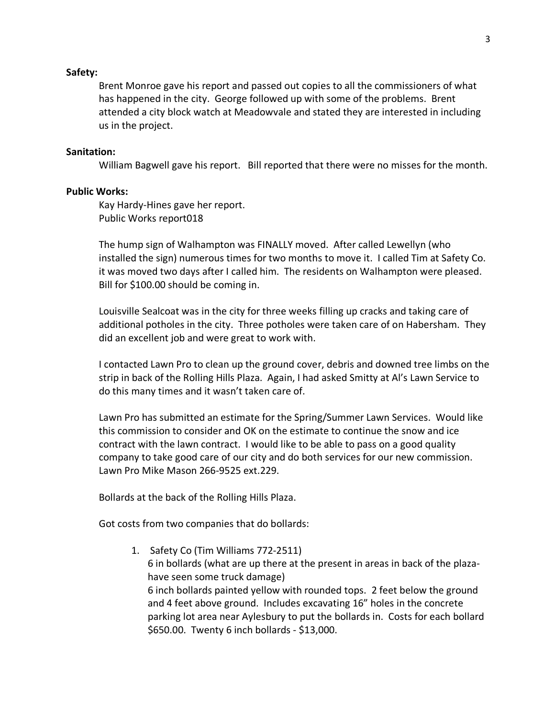#### **Safety:**

Brent Monroe gave his report and passed out copies to all the commissioners of what has happened in the city. George followed up with some of the problems. Brent attended a city block watch at Meadowvale and stated they are interested in including us in the project.

#### **Sanitation:**

William Bagwell gave his report. Bill reported that there were no misses for the month.

#### **Public Works:**

Kay Hardy-Hines gave her report. Public Works report018

The hump sign of Walhampton was FINALLY moved. After called Lewellyn (who installed the sign) numerous times for two months to move it. I called Tim at Safety Co. it was moved two days after I called him. The residents on Walhampton were pleased. Bill for \$100.00 should be coming in.

Louisville Sealcoat was in the city for three weeks filling up cracks and taking care of additional potholes in the city. Three potholes were taken care of on Habersham. They did an excellent job and were great to work with.

I contacted Lawn Pro to clean up the ground cover, debris and downed tree limbs on the strip in back of the Rolling Hills Plaza. Again, I had asked Smitty at Al's Lawn Service to do this many times and it wasn't taken care of.

Lawn Pro has submitted an estimate for the Spring/Summer Lawn Services. Would like this commission to consider and OK on the estimate to continue the snow and ice contract with the lawn contract. I would like to be able to pass on a good quality company to take good care of our city and do both services for our new commission. Lawn Pro Mike Mason 266-9525 ext.229.

Bollards at the back of the Rolling Hills Plaza.

Got costs from two companies that do bollards:

1. Safety Co (Tim Williams 772-2511) 6 in bollards (what are up there at the present in areas in back of the plazahave seen some truck damage) 6 inch bollards painted yellow with rounded tops. 2 feet below the ground and 4 feet above ground. Includes excavating 16" holes in the concrete parking lot area near Aylesbury to put the bollards in. Costs for each bollard \$650.00. Twenty 6 inch bollards - \$13,000.